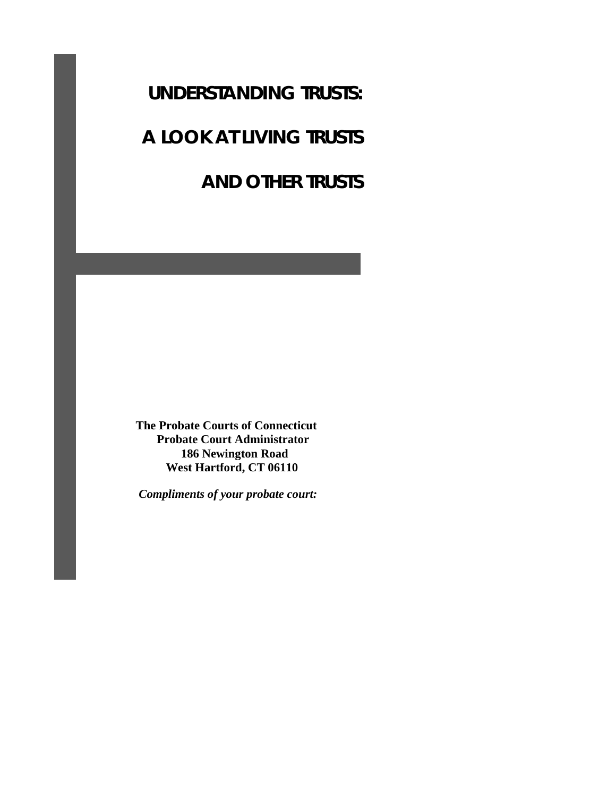## **UNDERSTANDING TRUSTS:**

# **A LOOK AT LIVING TRUSTS**

## **AND OTHER TRUSTS**

 **The Probate Courts of Connecticut Probate Court Administrator 186 Newington Road West Hartford, CT 06110** 

 *Compliments of your probate court:*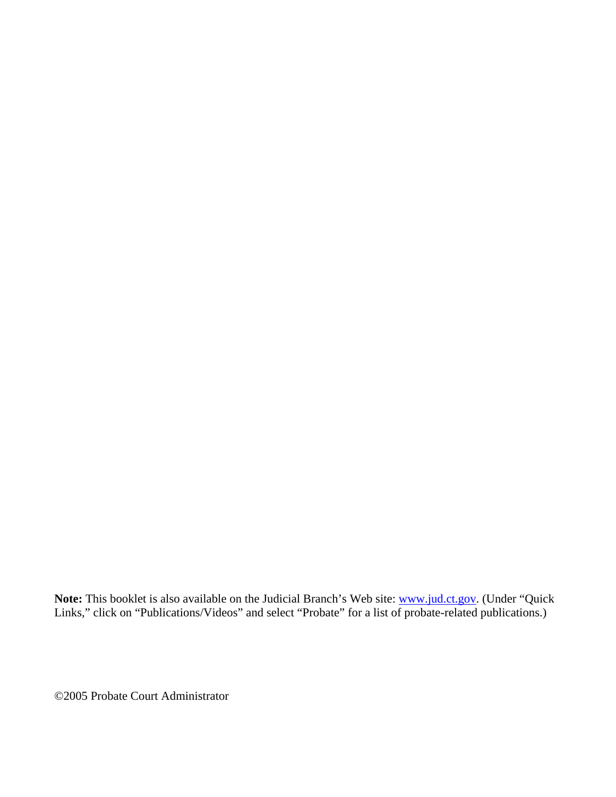Note: This booklet is also available on the Judicial Branch's Web site: **www.jud.ct.gov.** (Under "Quick Links," click on "Publications/Videos" and select "Probate" for a list of probate-related publications.)

©2005 Probate Court Administrator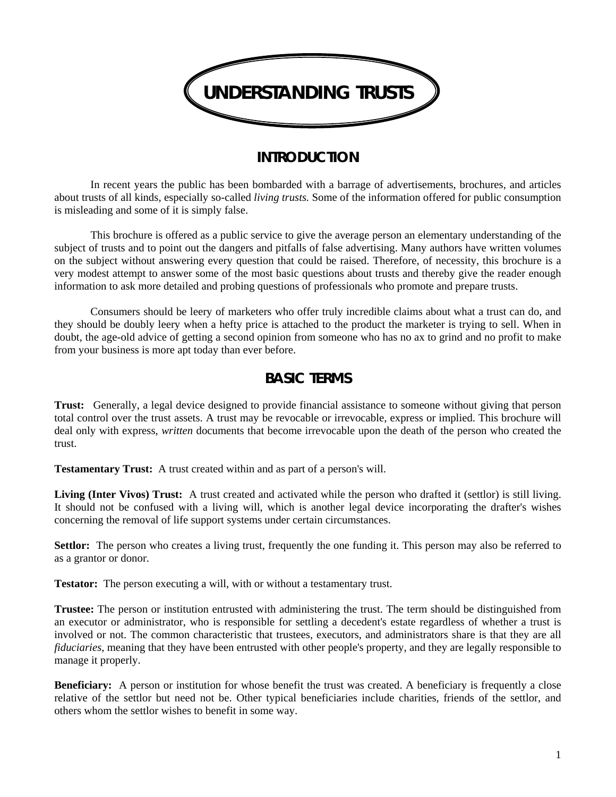

### **INTRODUCTION**

In recent years the public has been bombarded with a barrage of advertisements, brochures, and articles about trusts of all kinds, especially so-called *living trusts.* Some of the information offered for public consumption is misleading and some of it is simply false.

This brochure is offered as a public service to give the average person an elementary understanding of the subject of trusts and to point out the dangers and pitfalls of false advertising. Many authors have written volumes on the subject without answering every question that could be raised. Therefore, of necessity, this brochure is a very modest attempt to answer some of the most basic questions about trusts and thereby give the reader enough information to ask more detailed and probing questions of professionals who promote and prepare trusts.

Consumers should be leery of marketers who offer truly incredible claims about what a trust can do, and they should be doubly leery when a hefty price is attached to the product the marketer is trying to sell. When in doubt, the age-old advice of getting a second opinion from someone who has no ax to grind and no profit to make from your business is more apt today than ever before.

### **BASIC TERMS**

**Trust:** Generally, a legal device designed to provide financial assistance to someone without giving that person total control over the trust assets. A trust may be revocable or irrevocable, express or implied. This brochure will deal only with express, *written* documents that become irrevocable upon the death of the person who created the trust.

**Testamentary Trust:** A trust created within and as part of a person's will.

**Living (Inter Vivos) Trust:** A trust created and activated while the person who drafted it (settlor) is still living. It should not be confused with a living will, which is another legal device incorporating the drafter's wishes concerning the removal of life support systems under certain circumstances.

**Settlor:** The person who creates a living trust, frequently the one funding it. This person may also be referred to as a grantor or donor.

**Testator:** The person executing a will, with or without a testamentary trust.

**Trustee:** The person or institution entrusted with administering the trust. The term should be distinguished from an executor or administrator, who is responsible for settling a decedent's estate regardless of whether a trust is involved or not. The common characteristic that trustees, executors, and administrators share is that they are all *fiduciaries*, meaning that they have been entrusted with other people's property, and they are legally responsible to manage it properly.

**Beneficiary:** A person or institution for whose benefit the trust was created. A beneficiary is frequently a close relative of the settlor but need not be. Other typical beneficiaries include charities, friends of the settlor, and others whom the settlor wishes to benefit in some way.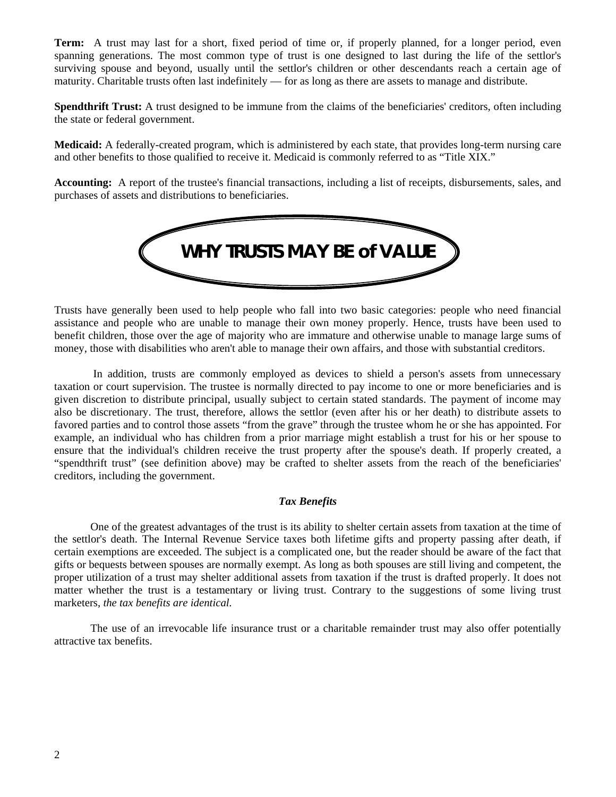**Term:** A trust may last for a short, fixed period of time or, if properly planned, for a longer period, even spanning generations. The most common type of trust is one designed to last during the life of the settlor's surviving spouse and beyond, usually until the settlor's children or other descendants reach a certain age of maturity. Charitable trusts often last indefinitely — for as long as there are assets to manage and distribute.

**Spendthrift Trust:** A trust designed to be immune from the claims of the beneficiaries' creditors, often including the state or federal government.

**Medicaid:** A federally-created program, which is administered by each state, that provides long-term nursing care and other benefits to those qualified to receive it. Medicaid is commonly referred to as "Title XIX."

**Accounting:** A report of the trustee's financial transactions, including a list of receipts, disbursements, sales, and purchases of assets and distributions to beneficiaries.



Trusts have generally been used to help people who fall into two basic categories: people who need financial assistance and people who are unable to manage their own money properly. Hence, trusts have been used to benefit children, those over the age of majority who are immature and otherwise unable to manage large sums of money, those with disabilities who aren't able to manage their own affairs, and those with substantial creditors.

 In addition, trusts are commonly employed as devices to shield a person's assets from unnecessary taxation or court supervision. The trustee is normally directed to pay income to one or more beneficiaries and is given discretion to distribute principal, usually subject to certain stated standards. The payment of income may also be discretionary. The trust, therefore, allows the settlor (even after his or her death) to distribute assets to favored parties and to control those assets "from the grave" through the trustee whom he or she has appointed. For example, an individual who has children from a prior marriage might establish a trust for his or her spouse to ensure that the individual's children receive the trust property after the spouse's death. If properly created, a "spendthrift trust" (see definition above) may be crafted to shelter assets from the reach of the beneficiaries' creditors, including the government.

#### *Tax Benefits*

 One of the greatest advantages of the trust is its ability to shelter certain assets from taxation at the time of the settlor's death. The Internal Revenue Service taxes both lifetime gifts and property passing after death, if certain exemptions are exceeded. The subject is a complicated one, but the reader should be aware of the fact that gifts or bequests between spouses are normally exempt. As long as both spouses are still living and competent, the proper utilization of a trust may shelter additional assets from taxation if the trust is drafted properly. It does not matter whether the trust is a testamentary or living trust. Contrary to the suggestions of some living trust marketers, *the tax benefits are identical.*

 The use of an irrevocable life insurance trust or a charitable remainder trust may also offer potentially attractive tax benefits.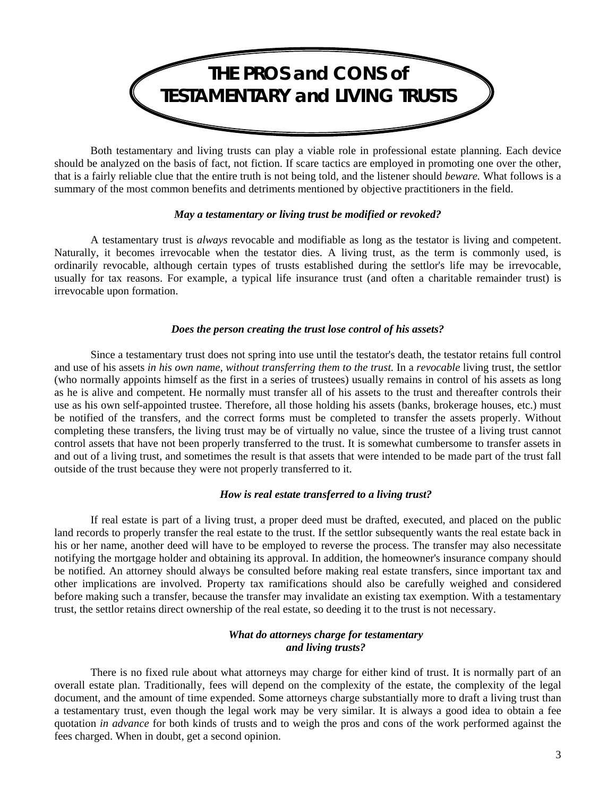

Both testamentary and living trusts can play a viable role in professional estate planning. Each device should be analyzed on the basis of fact, not fiction. If scare tactics are employed in promoting one over the other, that is a fairly reliable clue that the entire truth is not being told, and the listener should *beware.* What follows is a summary of the most common benefits and detriments mentioned by objective practitioners in the field.

#### *May a testamentary or living trust be modified or revoked?*

A testamentary trust is *always* revocable and modifiable as long as the testator is living and competent. Naturally, it becomes irrevocable when the testator dies. A living trust, as the term is commonly used, is ordinarily revocable, although certain types of trusts established during the settlor's life may be irrevocable, usually for tax reasons. For example, a typical life insurance trust (and often a charitable remainder trust) is irrevocable upon formation.

#### *Does the person creating the trust lose control of his assets?*

Since a testamentary trust does not spring into use until the testator's death, the testator retains full control and use of his assets *in his own name, without transferring them to the trust.* In a *revocable* living trust, the settlor (who normally appoints himself as the first in a series of trustees) usually remains in control of his assets as long as he is alive and competent. He normally must transfer all of his assets to the trust and thereafter controls their use as his own self-appointed trustee. Therefore, all those holding his assets (banks, brokerage houses, etc.) must be notified of the transfers, and the correct forms must be completed to transfer the assets properly. Without completing these transfers, the living trust may be of virtually no value, since the trustee of a living trust cannot control assets that have not been properly transferred to the trust. It is somewhat cumbersome to transfer assets in and out of a living trust, and sometimes the result is that assets that were intended to be made part of the trust fall outside of the trust because they were not properly transferred to it.

#### *How is real estate transferred to a living trust?*

If real estate is part of a living trust, a proper deed must be drafted, executed, and placed on the public land records to properly transfer the real estate to the trust. If the settlor subsequently wants the real estate back in his or her name, another deed will have to be employed to reverse the process. The transfer may also necessitate notifying the mortgage holder and obtaining its approval. In addition, the homeowner's insurance company should be notified. An attorney should always be consulted before making real estate transfers, since important tax and other implications are involved. Property tax ramifications should also be carefully weighed and considered before making such a transfer, because the transfer may invalidate an existing tax exemption. With a testamentary trust, the settlor retains direct ownership of the real estate, so deeding it to the trust is not necessary.

#### *What do attorneys charge for testamentary and living trusts?*

There is no fixed rule about what attorneys may charge for either kind of trust. It is normally part of an overall estate plan. Traditionally, fees will depend on the complexity of the estate, the complexity of the legal document, and the amount of time expended. Some attorneys charge substantially more to draft a living trust than a testamentary trust, even though the legal work may be very similar. It is always a good idea to obtain a fee quotation *in advance* for both kinds of trusts and to weigh the pros and cons of the work performed against the fees charged. When in doubt, get a second opinion.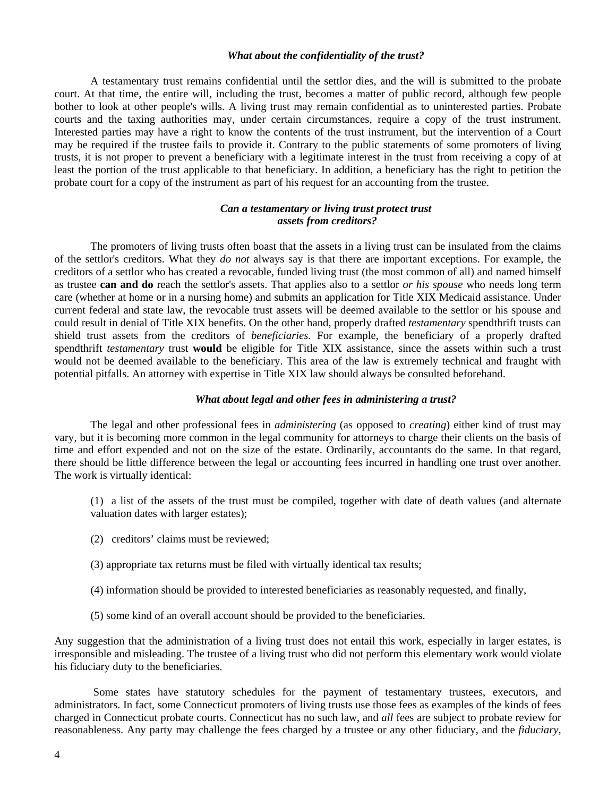#### *What about the confidentiality of the trust?*

A testamentary trust remains confidential until the settlor dies, and the will is submitted to the probate court. At that time, the entire will, including the trust, becomes a matter of public record, although few people bother to look at other people's wills. A living trust may remain confidential as to uninterested parties. Probate courts and the taxing authorities may, under certain circumstances, require a copy of the trust instrument. Interested parties may have a right to know the contents of the trust instrument, but the intervention of a Court may be required if the trustee fails to provide it. Contrary to the public statements of some promoters of living trusts, it is not proper to prevent a beneficiary with a legitimate interest in the trust from receiving a copy of at least the portion of the trust applicable to that beneficiary. In addition, a beneficiary has the right to petition the probate court for a copy of the instrument as part of his request for an accounting from the trustee.

#### *Can a testamentary or living trust protect trust assets from creditors?*

The promoters of living trusts often boast that the assets in a living trust can be insulated from the claims of the settlor's creditors. What they *do not* always say is that there are important exceptions. For example, the creditors of a settlor who has created a revocable, funded living trust (the most common of all) and named himself as trustee **can and do** reach the settlor's assets. That applies also to a settlor *or his spouse* who needs long term care (whether at home or in a nursing home) and submits an application for Title XIX Medicaid assistance. Under current federal and state law, the revocable trust assets will be deemed available to the settlor or his spouse and could result in denial of Title XIX benefits. On the other hand, properly drafted *testamentary* spendthrift trusts can shield trust assets from the creditors of *beneficiaries.* For example, the beneficiary of a properly drafted spendthrift *testamentary* trust **would** be eligible for Title XIX assistance, since the assets within such a trust would not be deemed available to the beneficiary. This area of the law is extremely technical and fraught with potential pitfalls. An attorney with expertise in Title XIX law should always be consulted beforehand.

#### *What about legal and other fees in administering a trust?*

The legal and other professional fees in *administering* (as opposed to *creating*) either kind of trust may vary, but it is becoming more common in the legal community for attorneys to charge their clients on the basis of time and effort expended and not on the size of the estate. Ordinarily, accountants do the same. In that regard, there should be little difference between the legal or accounting fees incurred in handling one trust over another. The work is virtually identical:

- (1) a list of the assets of the trust must be compiled, together with date of death values (and alternate valuation dates with larger estates);
- (2) creditors' claims must be reviewed;
- (3) appropriate tax returns must be filed with virtually identical tax results;
- (4) information should be provided to interested beneficiaries as reasonably requested, and finally,
- (5) some kind of an overall account should be provided to the beneficiaries.

Any suggestion that the administration of a living trust does not entail this work, especially in larger estates, is irresponsible and misleading. The trustee of a living trust who did not perform this elementary work would violate his fiduciary duty to the beneficiaries.

 Some states have statutory schedules for the payment of testamentary trustees, executors, and administrators. In fact, some Connecticut promoters of living trusts use those fees as examples of the kinds of fees charged in Connecticut probate courts. Connecticut has no such law, and *all* fees are subject to probate review for reasonableness. Any party may challenge the fees charged by a trustee or any other fiduciary, and the *fiduciary,*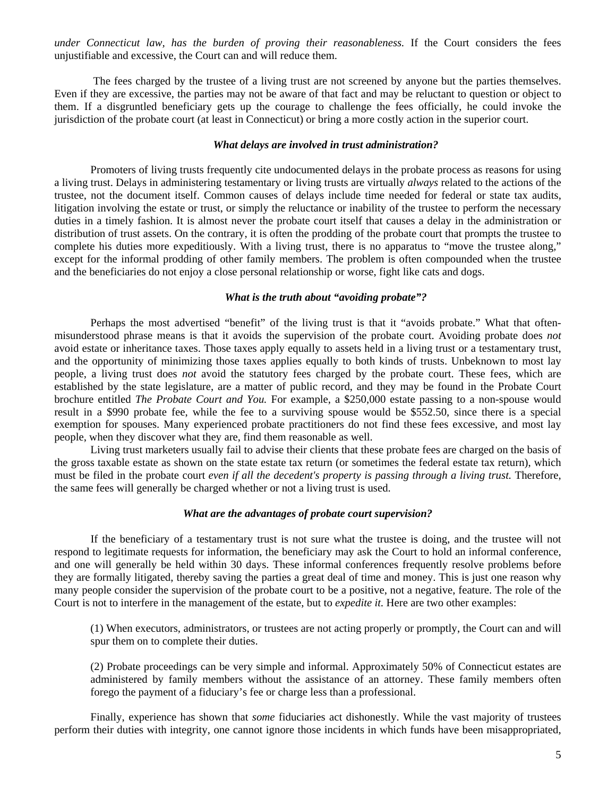*under Connecticut law, has the burden of proving their reasonableness.* If the Court considers the fees unjustifiable and excessive, the Court can and will reduce them.

 The fees charged by the trustee of a living trust are not screened by anyone but the parties themselves. Even if they are excessive, the parties may not be aware of that fact and may be reluctant to question or object to them. If a disgruntled beneficiary gets up the courage to challenge the fees officially, he could invoke the jurisdiction of the probate court (at least in Connecticut) or bring a more costly action in the superior court.

#### *What delays are involved in trust administration?*

Promoters of living trusts frequently cite undocumented delays in the probate process as reasons for using a living trust. Delays in administering testamentary or living trusts are virtually *always* related to the actions of the trustee, not the document itself. Common causes of delays include time needed for federal or state tax audits, litigation involving the estate or trust, or simply the reluctance or inability of the trustee to perform the necessary duties in a timely fashion. It is almost never the probate court itself that causes a delay in the administration or distribution of trust assets. On the contrary, it is often the prodding of the probate court that prompts the trustee to complete his duties more expeditiously. With a living trust, there is no apparatus to "move the trustee along," except for the informal prodding of other family members. The problem is often compounded when the trustee and the beneficiaries do not enjoy a close personal relationship or worse, fight like cats and dogs.

#### *What is the truth about "avoiding probate"?*

Perhaps the most advertised "benefit" of the living trust is that it "avoids probate." What that oftenmisunderstood phrase means is that it avoids the supervision of the probate court. Avoiding probate does *not* avoid estate or inheritance taxes. Those taxes apply equally to assets held in a living trust or a testamentary trust, and the opportunity of minimizing those taxes applies equally to both kinds of trusts. Unbeknown to most lay people, a living trust does *not* avoid the statutory fees charged by the probate court. These fees, which are established by the state legislature, are a matter of public record, and they may be found in the Probate Court brochure entitled *The Probate Court and You.* For example, a \$250,000 estate passing to a non-spouse would result in a \$990 probate fee, while the fee to a surviving spouse would be \$552.50, since there is a special exemption for spouses. Many experienced probate practitioners do not find these fees excessive, and most lay people, when they discover what they are, find them reasonable as well.

Living trust marketers usually fail to advise their clients that these probate fees are charged on the basis of the gross taxable estate as shown on the state estate tax return (or sometimes the federal estate tax return), which must be filed in the probate court *even if all the decedent's property is passing through a living trust*. Therefore, the same fees will generally be charged whether or not a living trust is used.

#### *What are the advantages of probate court supervision?*

If the beneficiary of a testamentary trust is not sure what the trustee is doing, and the trustee will not respond to legitimate requests for information, the beneficiary may ask the Court to hold an informal conference, and one will generally be held within 30 days. These informal conferences frequently resolve problems before they are formally litigated, thereby saving the parties a great deal of time and money. This is just one reason why many people consider the supervision of the probate court to be a positive, not a negative, feature. The role of the Court is not to interfere in the management of the estate, but to *expedite it.* Here are two other examples:

(1) When executors, administrators, or trustees are not acting properly or promptly, the Court can and will spur them on to complete their duties.

(2) Probate proceedings can be very simple and informal. Approximately 50% of Connecticut estates are administered by family members without the assistance of an attorney. These family members often forego the payment of a fiduciary's fee or charge less than a professional.

Finally, experience has shown that *some* fiduciaries act dishonestly. While the vast majority of trustees perform their duties with integrity, one cannot ignore those incidents in which funds have been misappropriated,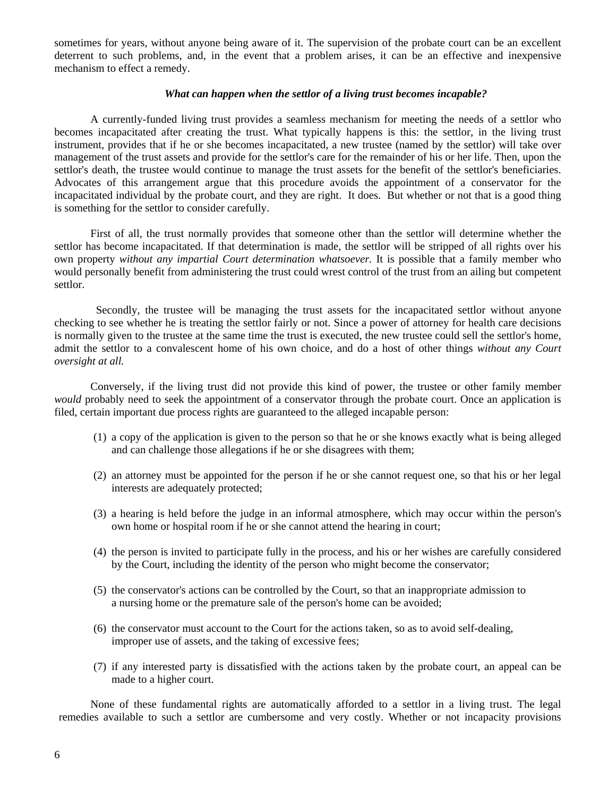sometimes for years, without anyone being aware of it. The supervision of the probate court can be an excellent deterrent to such problems, and, in the event that a problem arises, it can be an effective and inexpensive mechanism to effect a remedy.

#### *What can happen when the settlor of a living trust becomes incapable?*

A currently-funded living trust provides a seamless mechanism for meeting the needs of a settlor who becomes incapacitated after creating the trust. What typically happens is this: the settlor, in the living trust instrument, provides that if he or she becomes incapacitated, a new trustee (named by the settlor) will take over management of the trust assets and provide for the settlor's care for the remainder of his or her life. Then, upon the settlor's death, the trustee would continue to manage the trust assets for the benefit of the settlor's beneficiaries. Advocates of this arrangement argue that this procedure avoids the appointment of a conservator for the incapacitated individual by the probate court, and they are right. It does. But whether or not that is a good thing is something for the settlor to consider carefully.

First of all, the trust normally provides that someone other than the settlor will determine whether the settlor has become incapacitated. If that determination is made, the settlor will be stripped of all rights over his own property *without any impartial Court determination whatsoever.* It is possible that a family member who would personally benefit from administering the trust could wrest control of the trust from an ailing but competent settlor.

 Secondly, the trustee will be managing the trust assets for the incapacitated settlor without anyone checking to see whether he is treating the settlor fairly or not. Since a power of attorney for health care decisions is normally given to the trustee at the same time the trust is executed, the new trustee could sell the settlor's home, admit the settlor to a convalescent home of his own choice, and do a host of other things *without any Court oversight at all.* 

Conversely, if the living trust did not provide this kind of power, the trustee or other family member *would* probably need to seek the appointment of a conservator through the probate court. Once an application is filed, certain important due process rights are guaranteed to the alleged incapable person:

- (1) a copy of the application is given to the person so that he or she knows exactly what is being alleged and can challenge those allegations if he or she disagrees with them;
- (2) an attorney must be appointed for the person if he or she cannot request one, so that his or her legal interests are adequately protected;
- (3) a hearing is held before the judge in an informal atmosphere, which may occur within the person's own home or hospital room if he or she cannot attend the hearing in court;
- (4) the person is invited to participate fully in the process, and his or her wishes are carefully considered by the Court, including the identity of the person who might become the conservator;
- (5) the conservator's actions can be controlled by the Court, so that an inappropriate admission to a nursing home or the premature sale of the person's home can be avoided;
- (6) the conservator must account to the Court for the actions taken, so as to avoid self-dealing, improper use of assets, and the taking of excessive fees;
- (7) if any interested party is dissatisfied with the actions taken by the probate court, an appeal can be made to a higher court.

None of these fundamental rights are automatically afforded to a settlor in a living trust. The legal remedies available to such a settlor are cumbersome and very costly. Whether or not incapacity provisions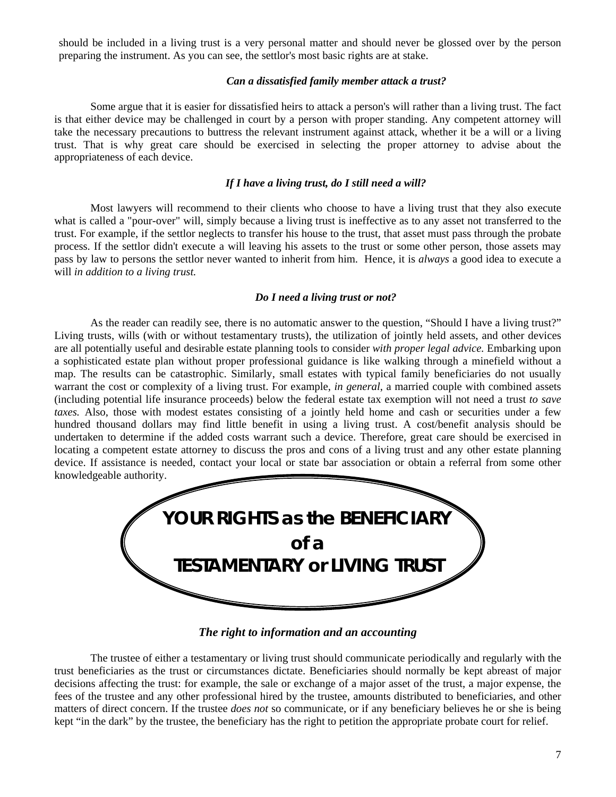should be included in a living trust is a very personal matter and should never be glossed over by the person preparing the instrument. As you can see, the settlor's most basic rights are at stake.

#### *Can a dissatisfied family member attack a trust?*

Some argue that it is easier for dissatisfied heirs to attack a person's will rather than a living trust. The fact is that either device may be challenged in court by a person with proper standing. Any competent attorney will take the necessary precautions to buttress the relevant instrument against attack, whether it be a will or a living trust. That is why great care should be exercised in selecting the proper attorney to advise about the appropriateness of each device.

#### *If I have a living trust, do I still need a will?*

Most lawyers will recommend to their clients who choose to have a living trust that they also execute what is called a "pour-over" will, simply because a living trust is ineffective as to any asset not transferred to the trust. For example, if the settlor neglects to transfer his house to the trust, that asset must pass through the probate process. If the settlor didn't execute a will leaving his assets to the trust or some other person, those assets may pass by law to persons the settlor never wanted to inherit from him. Hence, it is *always* a good idea to execute a will *in addition to a living trust.* 

#### *Do I need a living trust or not?*

As the reader can readily see, there is no automatic answer to the question, "Should I have a living trust?" Living trusts, wills (with or without testamentary trusts), the utilization of jointly held assets, and other devices are all potentially useful and desirable estate planning tools to consider *with proper legal advice.* Embarking upon a sophisticated estate plan without proper professional guidance is like walking through a minefield without a map. The results can be catastrophic. Similarly, small estates with typical family beneficiaries do not usually warrant the cost or complexity of a living trust. For example, *in general*, a married couple with combined assets (including potential life insurance proceeds) below the federal estate tax exemption will not need a trust *to save taxes.* Also, those with modest estates consisting of a jointly held home and cash or securities under a few hundred thousand dollars may find little benefit in using a living trust. A cost/benefit analysis should be undertaken to determine if the added costs warrant such a device. Therefore, great care should be exercised in locating a competent estate attorney to discuss the pros and cons of a living trust and any other estate planning device. If assistance is needed, contact your local or state bar association or obtain a referral from some other knowledgeable authority.



*The right to information and an accounting* 

 The trustee of either a testamentary or living trust should communicate periodically and regularly with the trust beneficiaries as the trust or circumstances dictate. Beneficiaries should normally be kept abreast of major decisions affecting the trust: for example, the sale or exchange of a major asset of the trust, a major expense, the fees of the trustee and any other professional hired by the trustee, amounts distributed to beneficiaries, and other matters of direct concern. If the trustee *does not* so communicate, or if any beneficiary believes he or she is being kept "in the dark" by the trustee, the beneficiary has the right to petition the appropriate probate court for relief.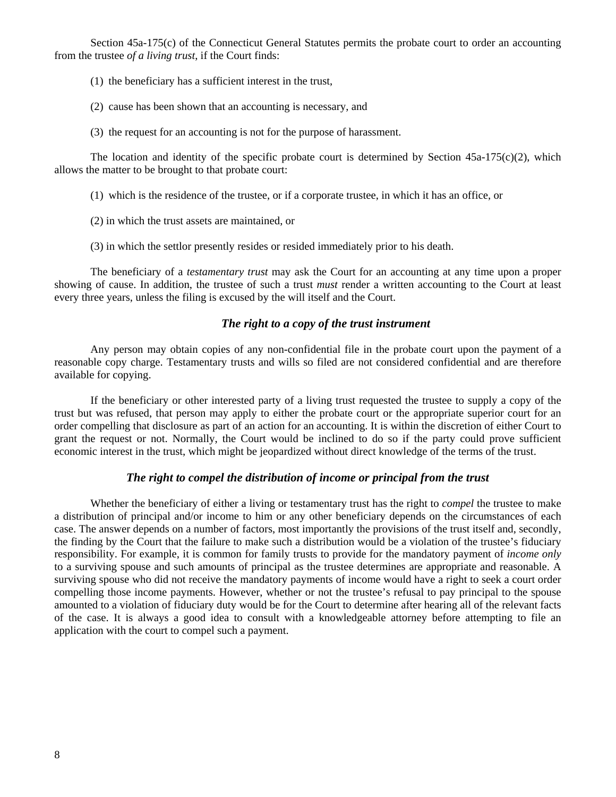Section 45a-175(c) of the Connecticut General Statutes permits the probate court to order an accounting from the trustee *of a living trust*, if the Court finds:

- (1) the beneficiary has a sufficient interest in the trust,
- (2) cause has been shown that an accounting is necessary, and
- (3) the request for an accounting is not for the purpose of harassment.

The location and identity of the specific probate court is determined by Section  $45a-175(c)(2)$ , which allows the matter to be brought to that probate court:

- (1) which is the residence of the trustee, or if a corporate trustee, in which it has an office, or
- (2) in which the trust assets are maintained, or
- (3) in which the settlor presently resides or resided immediately prior to his death.

The beneficiary of a *testamentary trust* may ask the Court for an accounting at any time upon a proper showing of cause. In addition, the trustee of such a trust *must* render a written accounting to the Court at least every three years, unless the filing is excused by the will itself and the Court.

#### *The right to a copy of the trust instrument*

Any person may obtain copies of any non-confidential file in the probate court upon the payment of a reasonable copy charge. Testamentary trusts and wills so filed are not considered confidential and are therefore available for copying.

If the beneficiary or other interested party of a living trust requested the trustee to supply a copy of the trust but was refused, that person may apply to either the probate court or the appropriate superior court for an order compelling that disclosure as part of an action for an accounting. It is within the discretion of either Court to grant the request or not. Normally, the Court would be inclined to do so if the party could prove sufficient economic interest in the trust, which might be jeopardized without direct knowledge of the terms of the trust.

#### *The right to compel the distribution of income or principal from the trust*

 Whether the beneficiary of either a living or testamentary trust has the right to *compel* the trustee to make a distribution of principal and/or income to him or any other beneficiary depends on the circumstances of each case. The answer depends on a number of factors, most importantly the provisions of the trust itself and, secondly, the finding by the Court that the failure to make such a distribution would be a violation of the trustee's fiduciary responsibility. For example, it is common for family trusts to provide for the mandatory payment of *income only* to a surviving spouse and such amounts of principal as the trustee determines are appropriate and reasonable. A surviving spouse who did not receive the mandatory payments of income would have a right to seek a court order compelling those income payments. However, whether or not the trustee's refusal to pay principal to the spouse amounted to a violation of fiduciary duty would be for the Court to determine after hearing all of the relevant facts of the case. It is always a good idea to consult with a knowledgeable attorney before attempting to file an application with the court to compel such a payment.